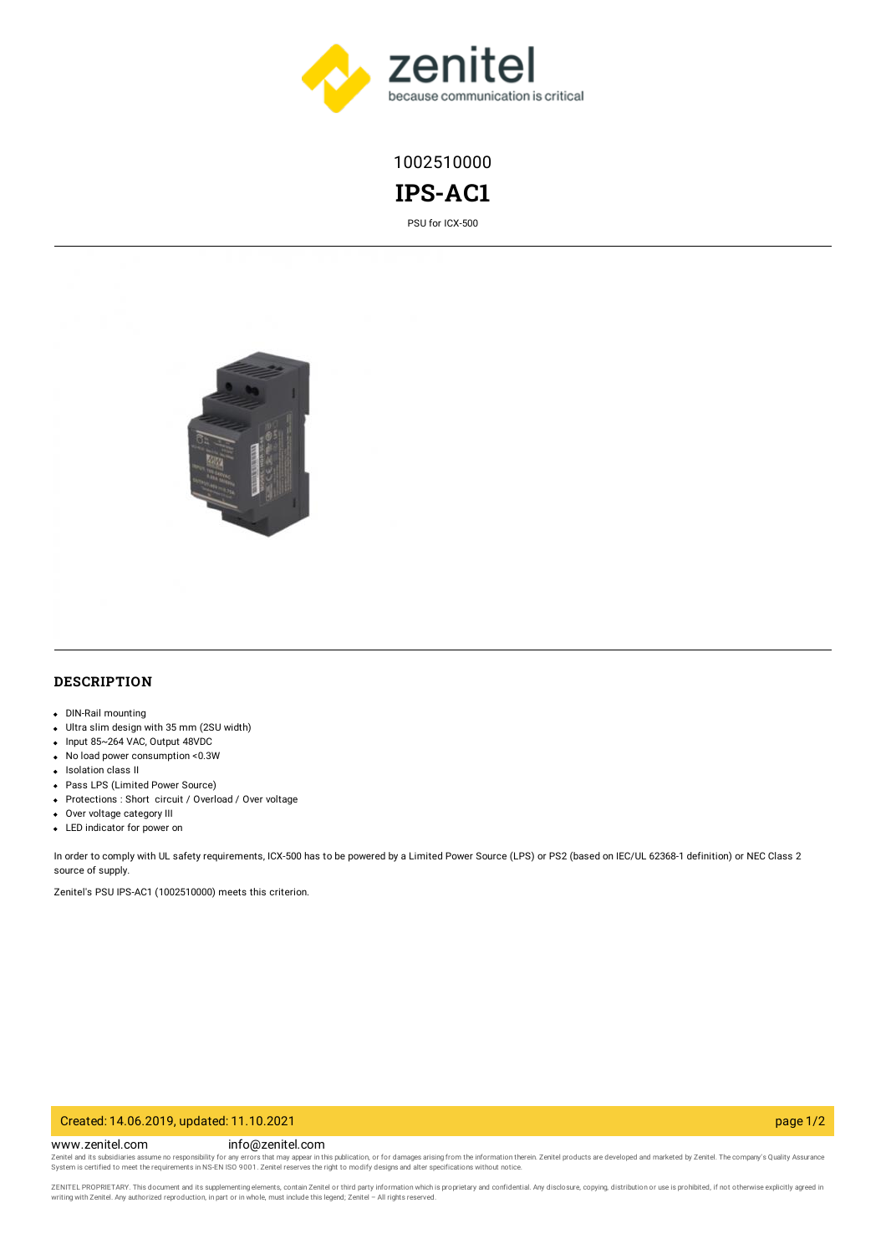

1002510000

**IPS-AC1**

PSU for ICX-500



## **DESCRIPTION**

- DIN-Rail mounting
- Ultra slim design with 35 mm (2SU width)
- Input 85~264 VAC, Output 48VDC
- No load power consumption <0.3W
- Isolation class II
- Pass LPS (Limited Power Source)
- Protections : Short circuit / Overload / Over voltage
- Over voltage category III
- LED indicator for power on

In order to comply with UL safety requirements, ICX-500 has to be powered by a Limited Power Source (LPS) or PS2 (based on IEC/UL 62368-1 definition) or NEC Class 2 source of supply.

Zenitel's PSU IPS-AC1 (1002510000) meets this criterion.

#### Created: 14.06.2019, updated: 11.10.2021 page 1/2

www.zenitel.com info@zenitel.com

Zenitel and its subsidiaries assume no responsibility for any errors that may appear in this publication, or for damages arising from the information therein. Zenitel products are developed and marketed by Zenitel. The com

ZENITEL PROPRIETARY. This document and its supplementing elements, contain Zenitel or third party information which is proprietary and confidential. Any disclosure, copying, distribution or use is prohibited, if not otherw